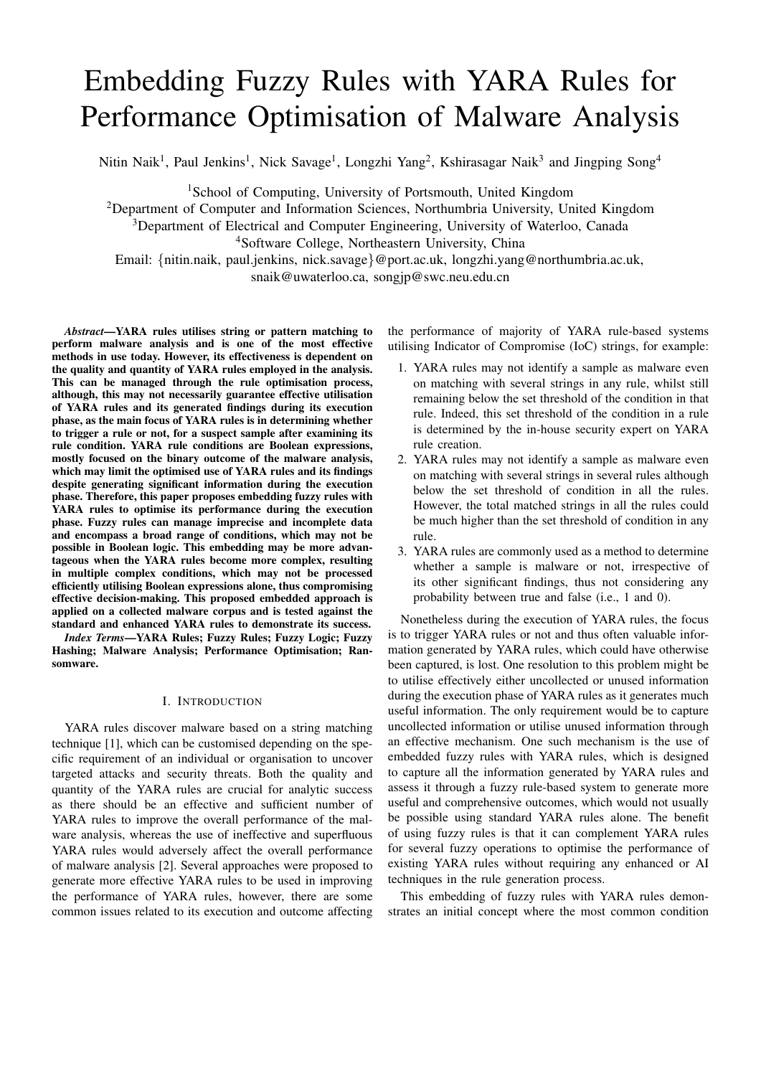# Embedding Fuzzy Rules with YARA Rules for Performance Optimisation of Malware Analysis

Nitin Naik<sup>1</sup>, Paul Jenkins<sup>1</sup>, Nick Savage<sup>1</sup>, Longzhi Yang<sup>2</sup>, Kshirasagar Naik<sup>3</sup> and Jingping Song<sup>4</sup>

<sup>1</sup>School of Computing, University of Portsmouth, United Kingdom

<sup>2</sup>Department of Computer and Information Sciences, Northumbria University, United Kingdom

<sup>3</sup>Department of Electrical and Computer Engineering, University of Waterloo, Canada

<sup>4</sup>Software College, Northeastern University, China

Email: {nitin.naik, paul.jenkins, nick.savage}@port.ac.uk, longzhi.yang@northumbria.ac.uk, snaik@uwaterloo.ca, songjp@swc.neu.edu.cn

*Abstract*—YARA rules utilises string or pattern matching to perform malware analysis and is one of the most effective methods in use today. However, its effectiveness is dependent on the quality and quantity of YARA rules employed in the analysis. This can be managed through the rule optimisation process, although, this may not necessarily guarantee effective utilisation of YARA rules and its generated findings during its execution phase, as the main focus of YARA rules is in determining whether to trigger a rule or not, for a suspect sample after examining its rule condition. YARA rule conditions are Boolean expressions, mostly focused on the binary outcome of the malware analysis, which may limit the optimised use of YARA rules and its findings despite generating significant information during the execution phase. Therefore, this paper proposes embedding fuzzy rules with YARA rules to optimise its performance during the execution phase. Fuzzy rules can manage imprecise and incomplete data and encompass a broad range of conditions, which may not be possible in Boolean logic. This embedding may be more advantageous when the YARA rules become more complex, resulting in multiple complex conditions, which may not be processed efficiently utilising Boolean expressions alone, thus compromising effective decision-making. This proposed embedded approach is applied on a collected malware corpus and is tested against the standard and enhanced YARA rules to demonstrate its success.

*Index Terms*—YARA Rules; Fuzzy Rules; Fuzzy Logic; Fuzzy Hashing; Malware Analysis; Performance Optimisation; Ransomware.

#### I. INTRODUCTION

YARA rules discover malware based on a string matching technique [1], which can be customised depending on the specific requirement of an individual or organisation to uncover targeted attacks and security threats. Both the quality and quantity of the YARA rules are crucial for analytic success as there should be an effective and sufficient number of YARA rules to improve the overall performance of the malware analysis, whereas the use of ineffective and superfluous YARA rules would adversely affect the overall performance of malware analysis [2]. Several approaches were proposed to generate more effective YARA rules to be used in improving the performance of YARA rules, however, there are some common issues related to its execution and outcome affecting the performance of majority of YARA rule-based systems utilising Indicator of Compromise (IoC) strings, for example:

- 1. YARA rules may not identify a sample as malware even on matching with several strings in any rule, whilst still remaining below the set threshold of the condition in that rule. Indeed, this set threshold of the condition in a rule is determined by the in-house security expert on YARA rule creation.
- 2. YARA rules may not identify a sample as malware even on matching with several strings in several rules although below the set threshold of condition in all the rules. However, the total matched strings in all the rules could be much higher than the set threshold of condition in any rule.
- 3. YARA rules are commonly used as a method to determine whether a sample is malware or not, irrespective of its other significant findings, thus not considering any probability between true and false (i.e., 1 and 0).

Nonetheless during the execution of YARA rules, the focus is to trigger YARA rules or not and thus often valuable information generated by YARA rules, which could have otherwise been captured, is lost. One resolution to this problem might be to utilise effectively either uncollected or unused information during the execution phase of YARA rules as it generates much useful information. The only requirement would be to capture uncollected information or utilise unused information through an effective mechanism. One such mechanism is the use of embedded fuzzy rules with YARA rules, which is designed to capture all the information generated by YARA rules and assess it through a fuzzy rule-based system to generate more useful and comprehensive outcomes, which would not usually be possible using standard YARA rules alone. The benefit of using fuzzy rules is that it can complement YARA rules for several fuzzy operations to optimise the performance of existing YARA rules without requiring any enhanced or AI techniques in the rule generation process.

This embedding of fuzzy rules with YARA rules demonstrates an initial concept where the most common condition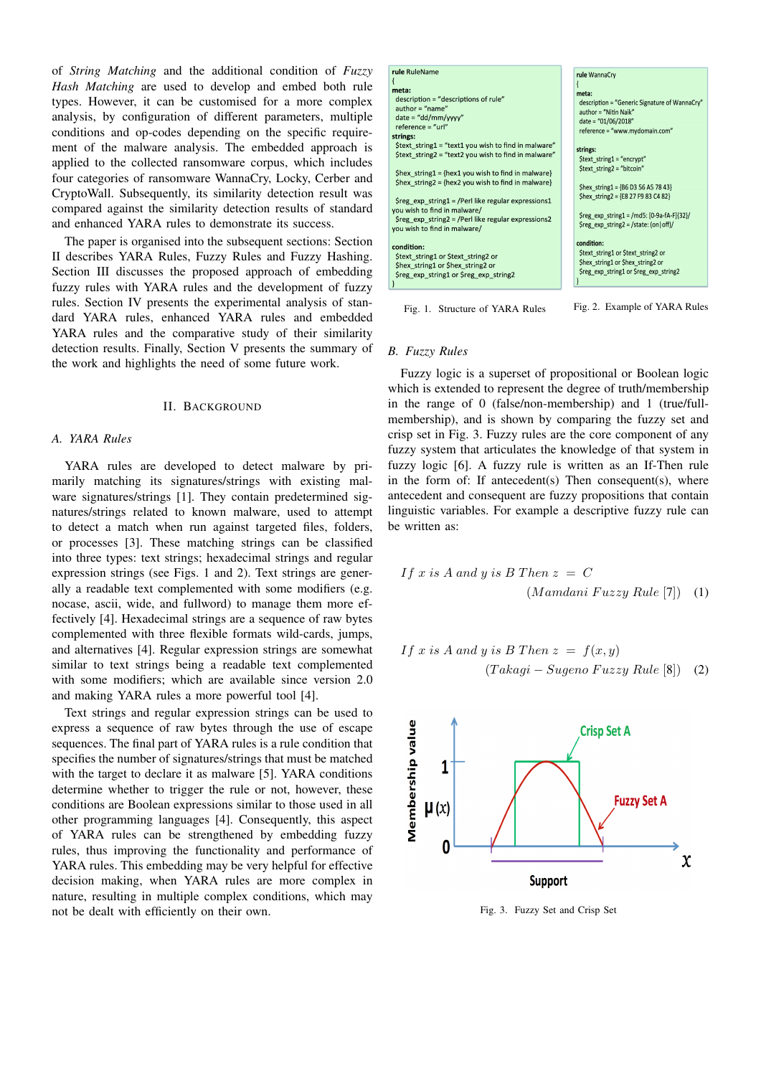of *String Matching* and the additional condition of *Fuzzy Hash Matching* are used to develop and embed both rule types. However, it can be customised for a more complex analysis, by configuration of different parameters, multiple conditions and op-codes depending on the specific requirement of the malware analysis. The embedded approach is applied to the collected ransomware corpus, which includes four categories of ransomware WannaCry, Locky, Cerber and CryptoWall. Subsequently, its similarity detection result was compared against the similarity detection results of standard and enhanced YARA rules to demonstrate its success.

The paper is organised into the subsequent sections: Section II describes YARA Rules, Fuzzy Rules and Fuzzy Hashing. Section III discusses the proposed approach of embedding fuzzy rules with YARA rules and the development of fuzzy rules. Section IV presents the experimental analysis of standard YARA rules, enhanced YARA rules and embedded YARA rules and the comparative study of their similarity detection results. Finally, Section V presents the summary of the work and highlights the need of some future work.

#### II. BACKGROUND

# *A. YARA Rules*

YARA rules are developed to detect malware by primarily matching its signatures/strings with existing malware signatures/strings [1]. They contain predetermined signatures/strings related to known malware, used to attempt to detect a match when run against targeted files, folders, or processes [3]. These matching strings can be classified into three types: text strings; hexadecimal strings and regular expression strings (see Figs. 1 and 2). Text strings are generally a readable text complemented with some modifiers (e.g. nocase, ascii, wide, and fullword) to manage them more effectively [4]. Hexadecimal strings are a sequence of raw bytes complemented with three flexible formats wild-cards, jumps, and alternatives [4]. Regular expression strings are somewhat similar to text strings being a readable text complemented with some modifiers; which are available since version 2.0 and making YARA rules a more powerful tool [4].

Text strings and regular expression strings can be used to express a sequence of raw bytes through the use of escape sequences. The final part of YARA rules is a rule condition that specifies the number of signatures/strings that must be matched with the target to declare it as malware [5]. YARA conditions determine whether to trigger the rule or not, however, these conditions are Boolean expressions similar to those used in all other programming languages [4]. Consequently, this aspect of YARA rules can be strengthened by embedding fuzzy rules, thus improving the functionality and performance of YARA rules. This embedding may be very helpful for effective decision making, when YARA rules are more complex in nature, resulting in multiple complex conditions, which may not be dealt with efficiently on their own.



#### Fig. 1. Structure of YARA Rules Fig. 2. Example of YARA Rules

#### *B. Fuzzy Rules*

Fuzzy logic is a superset of propositional or Boolean logic which is extended to represent the degree of truth/membership in the range of 0 (false/non-membership) and 1 (true/fullmembership), and is shown by comparing the fuzzy set and crisp set in Fig. 3. Fuzzy rules are the core component of any fuzzy system that articulates the knowledge of that system in fuzzy logic [6]. A fuzzy rule is written as an If-Then rule in the form of: If antecedent $(s)$  Then consequent $(s)$ , where antecedent and consequent are fuzzy propositions that contain linguistic variables. For example a descriptive fuzzy rule can be written as:

If x is A and y is B Then 
$$
z = C
$$
  
(Mamdani Fuzzy Rule [7]) (1)

If x is A and y is B Then 
$$
z = f(x, y)
$$
  
(*Takagi* - *Sugeno Fuzzy Rule* [8]) (2)



Fig. 3. Fuzzy Set and Crisp Set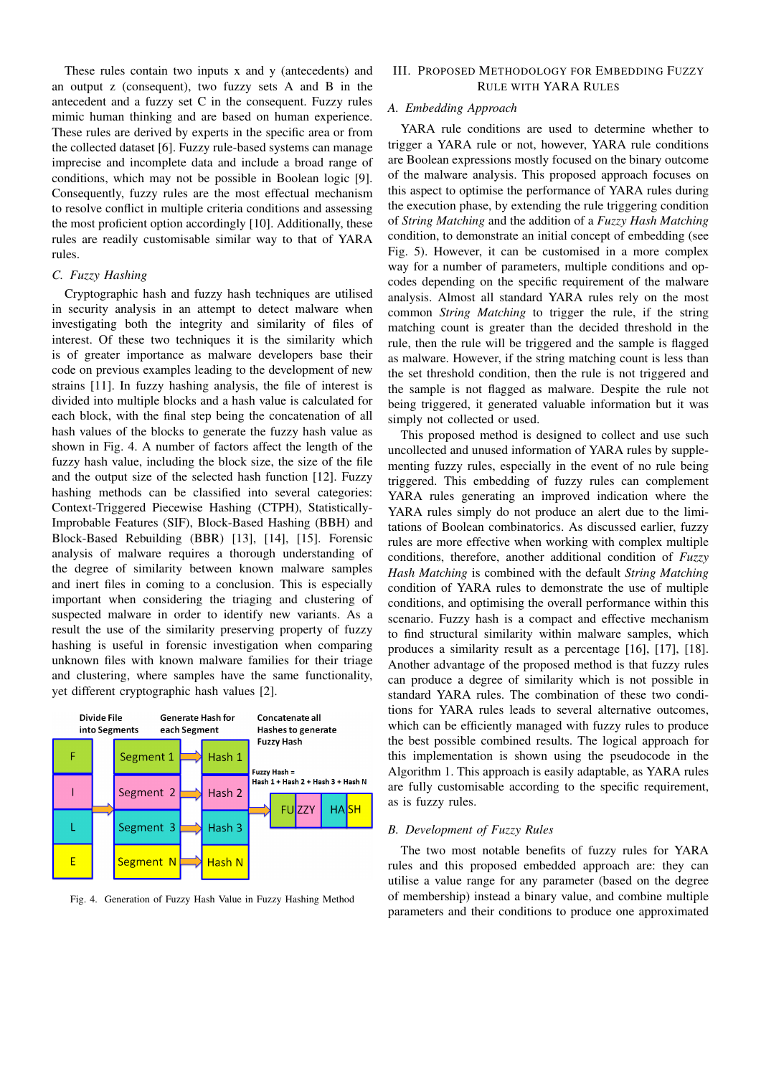These rules contain two inputs x and y (antecedents) and an output z (consequent), two fuzzy sets A and B in the antecedent and a fuzzy set C in the consequent. Fuzzy rules mimic human thinking and are based on human experience. These rules are derived by experts in the specific area or from the collected dataset [6]. Fuzzy rule-based systems can manage imprecise and incomplete data and include a broad range of conditions, which may not be possible in Boolean logic [9]. Consequently, fuzzy rules are the most effectual mechanism to resolve conflict in multiple criteria conditions and assessing the most proficient option accordingly [10]. Additionally, these rules are readily customisable similar way to that of YARA rules.

# *C. Fuzzy Hashing*

Cryptographic hash and fuzzy hash techniques are utilised in security analysis in an attempt to detect malware when investigating both the integrity and similarity of files of interest. Of these two techniques it is the similarity which is of greater importance as malware developers base their code on previous examples leading to the development of new strains [11]. In fuzzy hashing analysis, the file of interest is divided into multiple blocks and a hash value is calculated for each block, with the final step being the concatenation of all hash values of the blocks to generate the fuzzy hash value as shown in Fig. 4. A number of factors affect the length of the fuzzy hash value, including the block size, the size of the file and the output size of the selected hash function [12]. Fuzzy hashing methods can be classified into several categories: Context-Triggered Piecewise Hashing (CTPH), Statistically-Improbable Features (SIF), Block-Based Hashing (BBH) and Block-Based Rebuilding (BBR) [13], [14], [15]. Forensic analysis of malware requires a thorough understanding of the degree of similarity between known malware samples and inert files in coming to a conclusion. This is especially important when considering the triaging and clustering of suspected malware in order to identify new variants. As a result the use of the similarity preserving property of fuzzy hashing is useful in forensic investigation when comparing unknown files with known malware families for their triage and clustering, where samples have the same functionality, yet different cryptographic hash values [2].



Fig. 4. Generation of Fuzzy Hash Value in Fuzzy Hashing Method

# III. PROPOSED METHODOLOGY FOR EMBEDDING FUZZY RULE WITH YARA RULES

# *A. Embedding Approach*

YARA rule conditions are used to determine whether to trigger a YARA rule or not, however, YARA rule conditions are Boolean expressions mostly focused on the binary outcome of the malware analysis. This proposed approach focuses on this aspect to optimise the performance of YARA rules during the execution phase, by extending the rule triggering condition of *String Matching* and the addition of a *Fuzzy Hash Matching* condition, to demonstrate an initial concept of embedding (see Fig. 5). However, it can be customised in a more complex way for a number of parameters, multiple conditions and opcodes depending on the specific requirement of the malware analysis. Almost all standard YARA rules rely on the most common *String Matching* to trigger the rule, if the string matching count is greater than the decided threshold in the rule, then the rule will be triggered and the sample is flagged as malware. However, if the string matching count is less than the set threshold condition, then the rule is not triggered and the sample is not flagged as malware. Despite the rule not being triggered, it generated valuable information but it was simply not collected or used.

This proposed method is designed to collect and use such uncollected and unused information of YARA rules by supplementing fuzzy rules, especially in the event of no rule being triggered. This embedding of fuzzy rules can complement YARA rules generating an improved indication where the YARA rules simply do not produce an alert due to the limitations of Boolean combinatorics. As discussed earlier, fuzzy rules are more effective when working with complex multiple conditions, therefore, another additional condition of *Fuzzy Hash Matching* is combined with the default *String Matching* condition of YARA rules to demonstrate the use of multiple conditions, and optimising the overall performance within this scenario. Fuzzy hash is a compact and effective mechanism to find structural similarity within malware samples, which produces a similarity result as a percentage [16], [17], [18]. Another advantage of the proposed method is that fuzzy rules can produce a degree of similarity which is not possible in standard YARA rules. The combination of these two conditions for YARA rules leads to several alternative outcomes, which can be efficiently managed with fuzzy rules to produce the best possible combined results. The logical approach for this implementation is shown using the pseudocode in the Algorithm 1. This approach is easily adaptable, as YARA rules are fully customisable according to the specific requirement, as is fuzzy rules.

# *B. Development of Fuzzy Rules*

The two most notable benefits of fuzzy rules for YARA rules and this proposed embedded approach are: they can utilise a value range for any parameter (based on the degree of membership) instead a binary value, and combine multiple parameters and their conditions to produce one approximated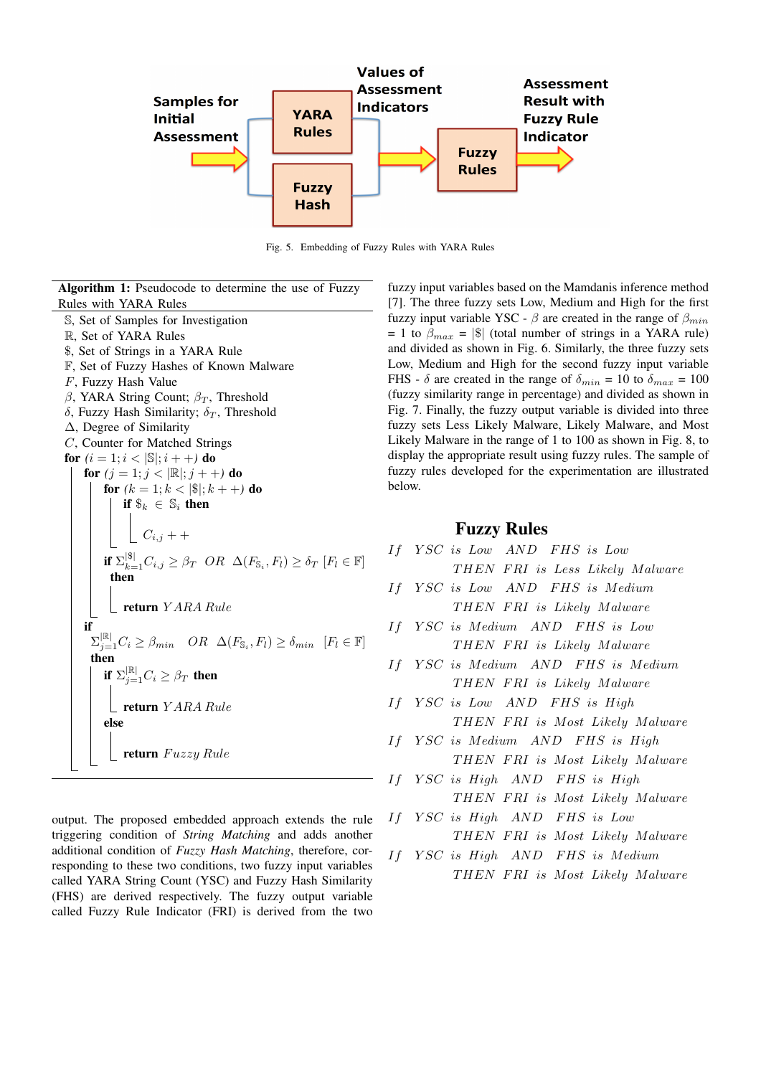

Fig. 5. Embedding of Fuzzy Rules with YARA Rules

Algorithm 1: Pseudocode to determine the use of Fuzzy Rules with YARA Rules S, Set of Samples for Investigation R, Set of YARA Rules

- \$, Set of Strings in a YARA Rule
- F, Set of Fuzzy Hashes of Known Malware
- F, Fuzzy Hash Value
- β, YARA String Count;  $β_T$ , Threshold
- $\delta$ , Fuzzy Hash Similarity;  $\delta_T$ , Threshold
- ∆, Degree of Similarity
- C, Counter for Matched Strings
- **for**  $(i = 1; i < |\mathbb{S}|; i + +)$  **do**
- for  $(j = 1; j < |\mathbb{R}|; j + +)$  do

for  $(k = 1; k < |\$|; k + +)$  do

if  $\$_k \in \mathbb{S}_i$  then

 $C_{i,j} + +$ if  $\Sigma_{k=1}^{|\$}C_{i,j} \geq \beta_T$  OR  $\Delta(F_{\mathbb{S}_i}, F_l) \geq \delta_T$   $[F_l \in \mathbb{F}]$ then  $=$ return  $YARA Rule$ if  $\Sigma_{j=1}^{|\mathbb{R}|} C_i \geq \beta_{min}$   $OR$   $\Delta(F_{\mathbb{S}_i}, F_l) \geq \delta_{min}$   $[F_l \in \mathbb{F}]$ then if  $\Sigma_{j=1}^{|\mathbb{R}|} C_i \geq \beta_T$  then return Y ARA Rule else

return Fuzzy Rule

output. The proposed embedded approach extends the rule triggering condition of *String Matching* and adds another additional condition of *Fuzzy Hash Matching*, therefore, corresponding to these two conditions, two fuzzy input variables called YARA String Count (YSC) and Fuzzy Hash Similarity (FHS) are derived respectively. The fuzzy output variable called Fuzzy Rule Indicator (FRI) is derived from the two fuzzy input variables based on the Mamdanis inference method [7]. The three fuzzy sets Low, Medium and High for the first fuzzy input variable YSC -  $\beta$  are created in the range of  $\beta_{min}$ = 1 to  $\beta_{max}$  = |\$| (total number of strings in a YARA rule) and divided as shown in Fig. 6. Similarly, the three fuzzy sets Low, Medium and High for the second fuzzy input variable FHS -  $\delta$  are created in the range of  $\delta_{min} = 10$  to  $\delta_{max} = 100$ (fuzzy similarity range in percentage) and divided as shown in Fig. 7. Finally, the fuzzy output variable is divided into three fuzzy sets Less Likely Malware, Likely Malware, and Most Likely Malware in the range of 1 to 100 as shown in Fig. 8, to display the appropriate result using fuzzy rules. The sample of fuzzy rules developed for the experimentation are illustrated below.

# Fuzzy Rules

- If YSC is Low AND FHS is Low THEN FRI is Less Likely Malware
- If YSC is Low AND FHS is Medium THEN FRI is Likely Malware
- If Y SC is Medium AND F HS is Low THEN FRI is Likely Malware
- If Y SC is Medium AND F HS is Medium THEN FRI is Likely Malware
- If YSC is Low AND FHS is High THEN FRI is Most Likely Malware
- If YSC is Medium AND FHS is High THEN FRI is Most Likely Malware
- If YSC is High AND FHS is High THEN FRI is Most Likely Malware
- If YSC is High AND FHS is Low THEN FRI is Most Likely Malware
- If Y SC is High AND F HS is Medium THEN FRI is Most Likely Malware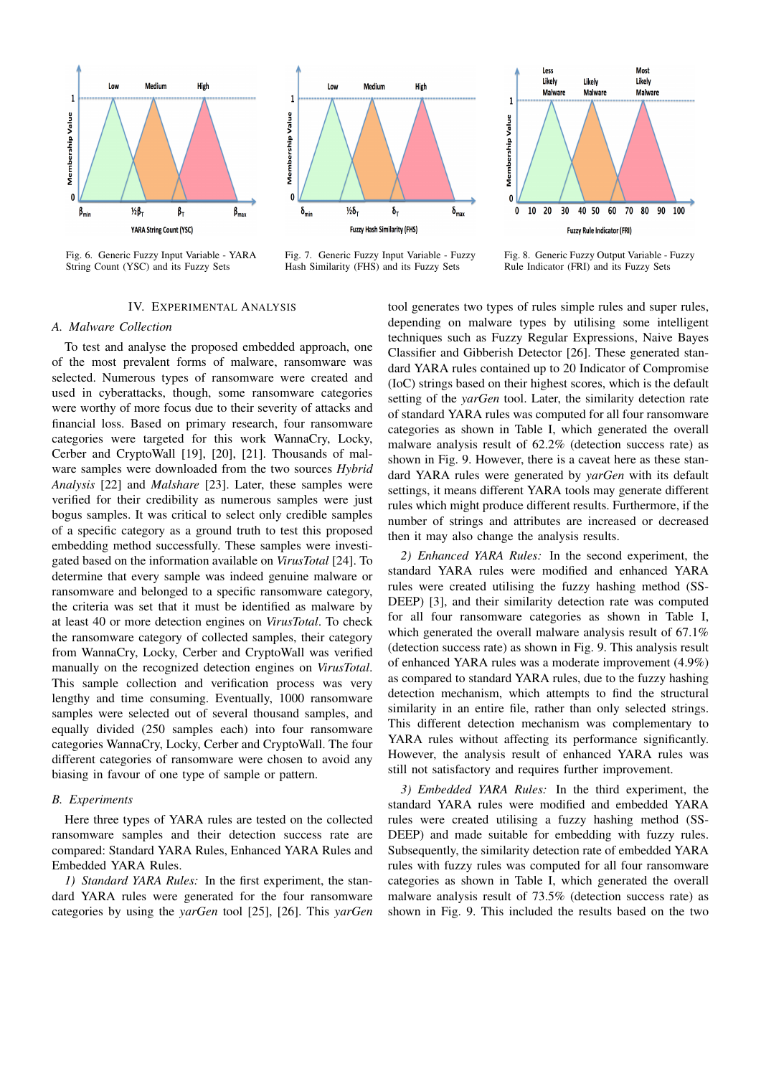

Fig. 6. Generic Fuzzy Input Variable - YARA String Count (YSC) and its Fuzzy Sets



Fig. 7. Generic Fuzzy Input Variable - Fuzzy Hash Similarity (FHS) and its Fuzzy Sets



Fig. 8. Generic Fuzzy Output Variable - Fuzzy Rule Indicator (FRI) and its Fuzzy Sets

# IV. EXPERIMENTAL ANALYSIS

#### *A. Malware Collection*

To test and analyse the proposed embedded approach, one of the most prevalent forms of malware, ransomware was selected. Numerous types of ransomware were created and used in cyberattacks, though, some ransomware categories were worthy of more focus due to their severity of attacks and financial loss. Based on primary research, four ransomware categories were targeted for this work WannaCry, Locky, Cerber and CryptoWall [19], [20], [21]. Thousands of malware samples were downloaded from the two sources *Hybrid Analysis* [22] and *Malshare* [23]. Later, these samples were verified for their credibility as numerous samples were just bogus samples. It was critical to select only credible samples of a specific category as a ground truth to test this proposed embedding method successfully. These samples were investigated based on the information available on *VirusTotal* [24]. To determine that every sample was indeed genuine malware or ransomware and belonged to a specific ransomware category, the criteria was set that it must be identified as malware by at least 40 or more detection engines on *VirusTotal*. To check the ransomware category of collected samples, their category from WannaCry, Locky, Cerber and CryptoWall was verified manually on the recognized detection engines on *VirusTotal*. This sample collection and verification process was very lengthy and time consuming. Eventually, 1000 ransomware samples were selected out of several thousand samples, and equally divided (250 samples each) into four ransomware categories WannaCry, Locky, Cerber and CryptoWall. The four different categories of ransomware were chosen to avoid any biasing in favour of one type of sample or pattern.

#### *B. Experiments*

Here three types of YARA rules are tested on the collected ransomware samples and their detection success rate are compared: Standard YARA Rules, Enhanced YARA Rules and Embedded YARA Rules.

*1) Standard YARA Rules:* In the first experiment, the standard YARA rules were generated for the four ransomware categories by using the *yarGen* tool [25], [26]. This *yarGen*

tool generates two types of rules simple rules and super rules, depending on malware types by utilising some intelligent techniques such as Fuzzy Regular Expressions, Naive Bayes Classifier and Gibberish Detector [26]. These generated standard YARA rules contained up to 20 Indicator of Compromise (IoC) strings based on their highest scores, which is the default setting of the *yarGen* tool. Later, the similarity detection rate of standard YARA rules was computed for all four ransomware categories as shown in Table I, which generated the overall malware analysis result of 62.2% (detection success rate) as shown in Fig. 9. However, there is a caveat here as these standard YARA rules were generated by *yarGen* with its default settings, it means different YARA tools may generate different rules which might produce different results. Furthermore, if the number of strings and attributes are increased or decreased then it may also change the analysis results.

*2) Enhanced YARA Rules:* In the second experiment, the standard YARA rules were modified and enhanced YARA rules were created utilising the fuzzy hashing method (SS-DEEP) [3], and their similarity detection rate was computed for all four ransomware categories as shown in Table I, which generated the overall malware analysis result of 67.1% (detection success rate) as shown in Fig. 9. This analysis result of enhanced YARA rules was a moderate improvement (4.9%) as compared to standard YARA rules, due to the fuzzy hashing detection mechanism, which attempts to find the structural similarity in an entire file, rather than only selected strings. This different detection mechanism was complementary to YARA rules without affecting its performance significantly. However, the analysis result of enhanced YARA rules was still not satisfactory and requires further improvement.

*3) Embedded YARA Rules:* In the third experiment, the standard YARA rules were modified and embedded YARA rules were created utilising a fuzzy hashing method (SS-DEEP) and made suitable for embedding with fuzzy rules. Subsequently, the similarity detection rate of embedded YARA rules with fuzzy rules was computed for all four ransomware categories as shown in Table I, which generated the overall malware analysis result of 73.5% (detection success rate) as shown in Fig. 9. This included the results based on the two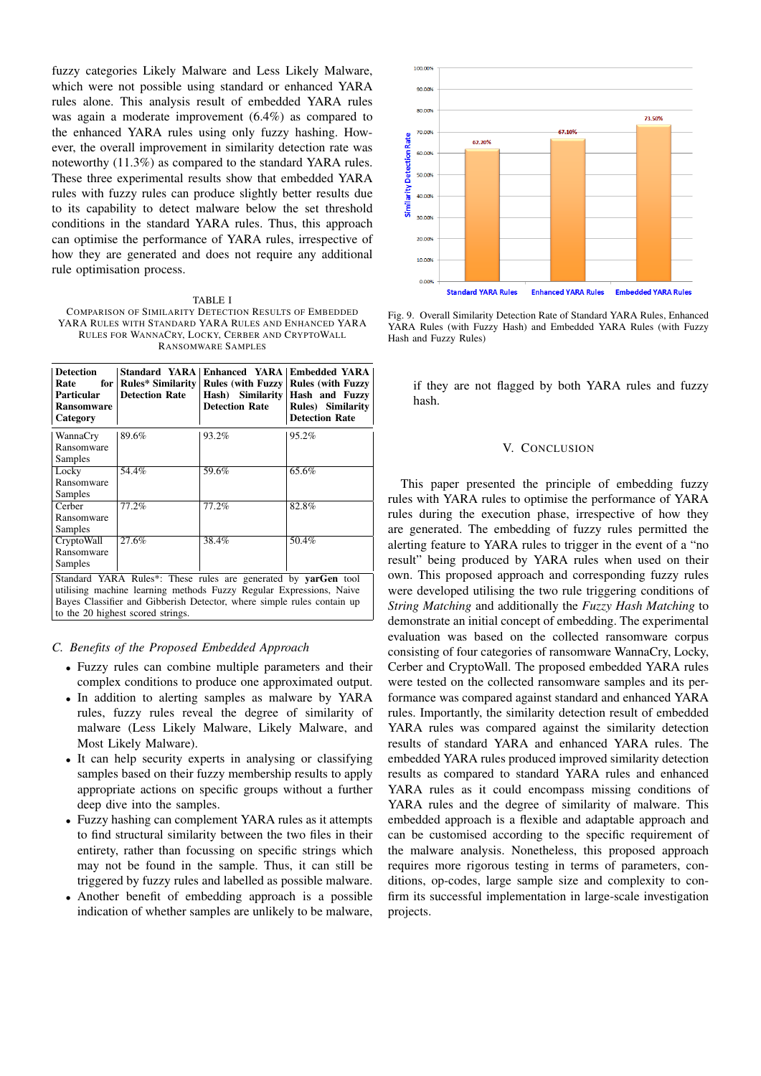fuzzy categories Likely Malware and Less Likely Malware, which were not possible using standard or enhanced YARA rules alone. This analysis result of embedded YARA rules was again a moderate improvement (6.4%) as compared to the enhanced YARA rules using only fuzzy hashing. However, the overall improvement in similarity detection rate was noteworthy (11.3%) as compared to the standard YARA rules. These three experimental results show that embedded YARA rules with fuzzy rules can produce slightly better results due to its capability to detect malware below the set threshold conditions in the standard YARA rules. Thus, this approach can optimise the performance of YARA rules, irrespective of how they are generated and does not require any additional rule optimisation process.

TABLE I COMPARISON OF SIMILARITY DETECTION RESULTS OF EMBEDDED YARA RULES WITH STANDARD YARA RULES AND ENHANCED YARA RULES FOR WANNACRY, LOCKY, CERBER AND CRYPTOWALL RANSOMWARE SAMPLES

| <b>Detection</b><br>Rate<br><b>Particular</b><br><b>Ransomware</b><br>Category                                                                                                                                                                       | Standard YARA<br>for   Rules* Similarity<br><b>Detection Rate</b> | <b>Enhanced YARA Embedded YARA</b><br>$Hash)$ Similarity<br><b>Detection Rate</b> | Rules (with Fuzzy   Rules (with Fuzzy<br>Hash and Fuzzy<br><b>Rules</b> ) Similarity<br><b>Detection Rate</b> |
|------------------------------------------------------------------------------------------------------------------------------------------------------------------------------------------------------------------------------------------------------|-------------------------------------------------------------------|-----------------------------------------------------------------------------------|---------------------------------------------------------------------------------------------------------------|
| WannaCry<br>Ransomware                                                                                                                                                                                                                               | 89.6%                                                             | 93.2%                                                                             | 95.2%                                                                                                         |
| Samples                                                                                                                                                                                                                                              |                                                                   |                                                                                   |                                                                                                               |
| Locky                                                                                                                                                                                                                                                | 54.4%                                                             | 59.6%                                                                             | 65.6%                                                                                                         |
| Ransomware                                                                                                                                                                                                                                           |                                                                   |                                                                                   |                                                                                                               |
| Samples                                                                                                                                                                                                                                              |                                                                   |                                                                                   |                                                                                                               |
| Cerber                                                                                                                                                                                                                                               | 77.2%                                                             | 77.2%                                                                             | 82.8%                                                                                                         |
| Ransomware                                                                                                                                                                                                                                           |                                                                   |                                                                                   |                                                                                                               |
| Samples                                                                                                                                                                                                                                              |                                                                   |                                                                                   |                                                                                                               |
| CryptoWall                                                                                                                                                                                                                                           | 27.6%                                                             | 38.4%                                                                             | 50.4%                                                                                                         |
| Ransomware                                                                                                                                                                                                                                           |                                                                   |                                                                                   |                                                                                                               |
| Samples                                                                                                                                                                                                                                              |                                                                   |                                                                                   |                                                                                                               |
| Standard YARA Rules*: These rules are generated by yarGen tool<br>utilising machine learning methods Fuzzy Regular Expressions, Naive<br>Bayes Classifier and Gibberish Detector, where simple rules contain up<br>to the 20 highest scored strings. |                                                                   |                                                                                   |                                                                                                               |

#### *C. Benefits of the Proposed Embedded Approach*

- Fuzzy rules can combine multiple parameters and their complex conditions to produce one approximated output.
- In addition to alerting samples as malware by YARA rules, fuzzy rules reveal the degree of similarity of malware (Less Likely Malware, Likely Malware, and Most Likely Malware).
- It can help security experts in analysing or classifying samples based on their fuzzy membership results to apply appropriate actions on specific groups without a further deep dive into the samples.
- Fuzzy hashing can complement YARA rules as it attempts to find structural similarity between the two files in their entirety, rather than focussing on specific strings which may not be found in the sample. Thus, it can still be triggered by fuzzy rules and labelled as possible malware.
- Another benefit of embedding approach is a possible indication of whether samples are unlikely to be malware,



Fig. 9. Overall Similarity Detection Rate of Standard YARA Rules, Enhanced YARA Rules (with Fuzzy Hash) and Embedded YARA Rules (with Fuzzy Hash and Fuzzy Rules)

if they are not flagged by both YARA rules and fuzzy hash.

#### V. CONCLUSION

This paper presented the principle of embedding fuzzy rules with YARA rules to optimise the performance of YARA rules during the execution phase, irrespective of how they are generated. The embedding of fuzzy rules permitted the alerting feature to YARA rules to trigger in the event of a "no result" being produced by YARA rules when used on their own. This proposed approach and corresponding fuzzy rules were developed utilising the two rule triggering conditions of *String Matching* and additionally the *Fuzzy Hash Matching* to demonstrate an initial concept of embedding. The experimental evaluation was based on the collected ransomware corpus consisting of four categories of ransomware WannaCry, Locky, Cerber and CryptoWall. The proposed embedded YARA rules were tested on the collected ransomware samples and its performance was compared against standard and enhanced YARA rules. Importantly, the similarity detection result of embedded YARA rules was compared against the similarity detection results of standard YARA and enhanced YARA rules. The embedded YARA rules produced improved similarity detection results as compared to standard YARA rules and enhanced YARA rules as it could encompass missing conditions of YARA rules and the degree of similarity of malware. This embedded approach is a flexible and adaptable approach and can be customised according to the specific requirement of the malware analysis. Nonetheless, this proposed approach requires more rigorous testing in terms of parameters, conditions, op-codes, large sample size and complexity to confirm its successful implementation in large-scale investigation projects.